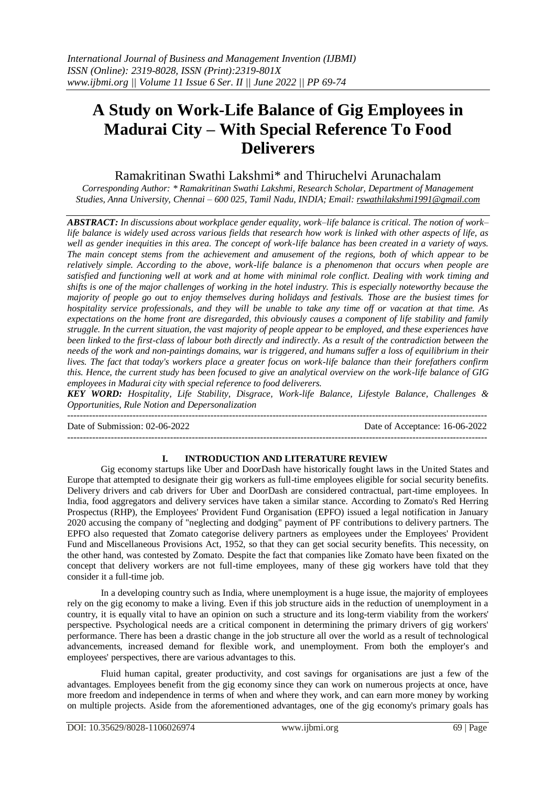# **A Study on Work-Life Balance of Gig Employees in Madurai City – With Special Reference To Food Deliverers**

## Ramakritinan Swathi Lakshmi\* and Thiruchelvi Arunachalam

*Corresponding Author: \* Ramakritinan Swathi Lakshmi, Research Scholar, Department of Management Studies, Anna University, Chennai – 600 025, Tamil Nadu, INDIA; Email[: rswathilakshmi1991@gmail.com](mailto:rswathilakshmi1991@gmail.com)*

*ABSTRACT: In discussions about workplace gender equality, work–life balance is critical. The notion of work– life balance is widely used across various fields that research how work is linked with other aspects of life, as*  well as gender inequities in this area. The concept of work-life balance has been created in a variety of ways. *The main concept stems from the achievement and amusement of the regions, both of which appear to be relatively simple. According to the above, work-life balance is a phenomenon that occurs when people are satisfied and functioning well at work and at home with minimal role conflict. Dealing with work timing and shifts is one of the major challenges of working in the hotel industry. This is especially noteworthy because the majority of people go out to enjoy themselves during holidays and festivals. Those are the busiest times for hospitality service professionals, and they will be unable to take any time off or vacation at that time. As expectations on the home front are disregarded, this obviously causes a component of life stability and family struggle. In the current situation, the vast majority of people appear to be employed, and these experiences have been linked to the first-class of labour both directly and indirectly. As a result of the contradiction between the needs of the work and non-paintings domains, war is triggered, and humans suffer a loss of equilibrium in their lives. The fact that today's workers place a greater focus on work-life balance than their forefathers confirm this. Hence, the current study has been focused to give an analytical overview on the work-life balance of GIG employees in Madurai city with special reference to food deliverers.*

*KEY WORD: Hospitality, Life Stability, Disgrace, Work-life Balance, Lifestyle Balance, Challenges & Opportunities, Rule Notion and Depersonalization*

--------------------------------------------------------------------------------------------------------------------------------------- Date of Submission: 02-06-2022 Date of Acceptance: 16-06-2022 ---------------------------------------------------------------------------------------------------------------------------------------

## **I. INTRODUCTION AND LITERATURE REVIEW**

Gig economy startups like Uber and DoorDash have historically fought laws in the United States and Europe that attempted to designate their gig workers as full-time employees eligible for social security benefits. Delivery drivers and cab drivers for Uber and DoorDash are considered contractual, part-time employees. In India, food aggregators and delivery services have taken a similar stance. According to Zomato's Red Herring Prospectus (RHP), the Employees' Provident Fund Organisation (EPFO) issued a legal notification in January 2020 accusing the company of "neglecting and dodging" payment of PF contributions to delivery partners. The EPFO also requested that Zomato categorise delivery partners as employees under the Employees' Provident Fund and Miscellaneous Provisions Act, 1952, so that they can get social security benefits. This necessity, on the other hand, was contested by Zomato. Despite the fact that companies like Zomato have been fixated on the concept that delivery workers are not full-time employees, many of these gig workers have told that they consider it a full-time job.

In a developing country such as India, where unemployment is a huge issue, the majority of employees rely on the gig economy to make a living. Even if this job structure aids in the reduction of unemployment in a country, it is equally vital to have an opinion on such a structure and its long-term viability from the workers' perspective. Psychological needs are a critical component in determining the primary drivers of gig workers' performance. There has been a drastic change in the job structure all over the world as a result of technological advancements, increased demand for flexible work, and unemployment. From both the employer's and employees' perspectives, there are various advantages to this.

Fluid human capital, greater productivity, and cost savings for organisations are just a few of the advantages. Employees benefit from the gig economy since they can work on numerous projects at once, have more freedom and independence in terms of when and where they work, and can earn more money by working on multiple projects. Aside from the aforementioned advantages, one of the gig economy's primary goals has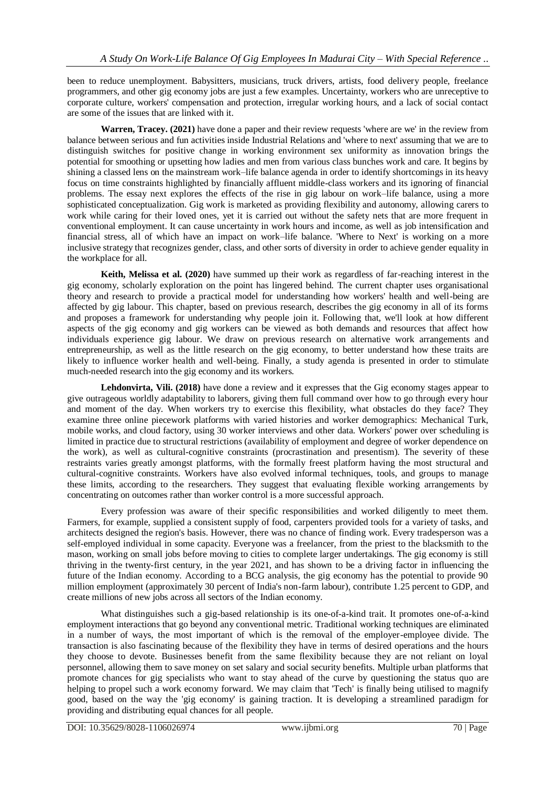been to reduce unemployment. Babysitters, musicians, truck drivers, artists, food delivery people, freelance programmers, and other gig economy jobs are just a few examples. Uncertainty, workers who are unreceptive to corporate culture, workers' compensation and protection, irregular working hours, and a lack of social contact are some of the issues that are linked with it.

**Warren, Tracey. (2021)** have done a paper and their review requests 'where are we' in the review from balance between serious and fun activities inside Industrial Relations and 'where to next' assuming that we are to distinguish switches for positive change in working environment sex uniformity as innovation brings the potential for smoothing or upsetting how ladies and men from various class bunches work and care. It begins by shining a classed lens on the mainstream work–life balance agenda in order to identify shortcomings in its heavy focus on time constraints highlighted by financially affluent middle-class workers and its ignoring of financial problems. The essay next explores the effects of the rise in gig labour on work–life balance, using a more sophisticated conceptualization. Gig work is marketed as providing flexibility and autonomy, allowing carers to work while caring for their loved ones, yet it is carried out without the safety nets that are more frequent in conventional employment. It can cause uncertainty in work hours and income, as well as job intensification and financial stress, all of which have an impact on work–life balance. 'Where to Next' is working on a more inclusive strategy that recognizes gender, class, and other sorts of diversity in order to achieve gender equality in the workplace for all.

**Keith, Melissa et al. (2020)** have summed up their work as regardless of far-reaching interest in the gig economy, scholarly exploration on the point has lingered behind. The current chapter uses organisational theory and research to provide a practical model for understanding how workers' health and well-being are affected by gig labour. This chapter, based on previous research, describes the gig economy in all of its forms and proposes a framework for understanding why people join it. Following that, we'll look at how different aspects of the gig economy and gig workers can be viewed as both demands and resources that affect how individuals experience gig labour. We draw on previous research on alternative work arrangements and entrepreneurship, as well as the little research on the gig economy, to better understand how these traits are likely to influence worker health and well-being. Finally, a study agenda is presented in order to stimulate much-needed research into the gig economy and its workers.

**Lehdonvirta, Vili. (2018)** have done a review and it expresses that the Gig economy stages appear to give outrageous worldly adaptability to laborers, giving them full command over how to go through every hour and moment of the day. When workers try to exercise this flexibility, what obstacles do they face? They examine three online piecework platforms with varied histories and worker demographics: Mechanical Turk, mobile works, and cloud factory, using 30 worker interviews and other data. Workers' power over scheduling is limited in practice due to structural restrictions (availability of employment and degree of worker dependence on the work), as well as cultural-cognitive constraints (procrastination and presentism). The severity of these restraints varies greatly amongst platforms, with the formally freest platform having the most structural and cultural-cognitive constraints. Workers have also evolved informal techniques, tools, and groups to manage these limits, according to the researchers. They suggest that evaluating flexible working arrangements by concentrating on outcomes rather than worker control is a more successful approach.

Every profession was aware of their specific responsibilities and worked diligently to meet them. Farmers, for example, supplied a consistent supply of food, carpenters provided tools for a variety of tasks, and architects designed the region's basis. However, there was no chance of finding work. Every tradesperson was a self-employed individual in some capacity. Everyone was a freelancer, from the priest to the blacksmith to the mason, working on small jobs before moving to cities to complete larger undertakings. The gig economy is still thriving in the twenty-first century, in the year 2021, and has shown to be a driving factor in influencing the future of the Indian economy. According to a BCG analysis, the gig economy has the potential to provide 90 million employment (approximately 30 percent of India's non-farm labour), contribute 1.25 percent to GDP, and create millions of new jobs across all sectors of the Indian economy.

What distinguishes such a gig-based relationship is its one-of-a-kind trait. It promotes one-of-a-kind employment interactions that go beyond any conventional metric. Traditional working techniques are eliminated in a number of ways, the most important of which is the removal of the employer-employee divide. The transaction is also fascinating because of the flexibility they have in terms of desired operations and the hours they choose to devote. Businesses benefit from the same flexibility because they are not reliant on loyal personnel, allowing them to save money on set salary and social security benefits. Multiple urban platforms that promote chances for gig specialists who want to stay ahead of the curve by questioning the status quo are helping to propel such a work economy forward. We may claim that 'Tech' is finally being utilised to magnify good, based on the way the 'gig economy' is gaining traction. It is developing a streamlined paradigm for providing and distributing equal chances for all people.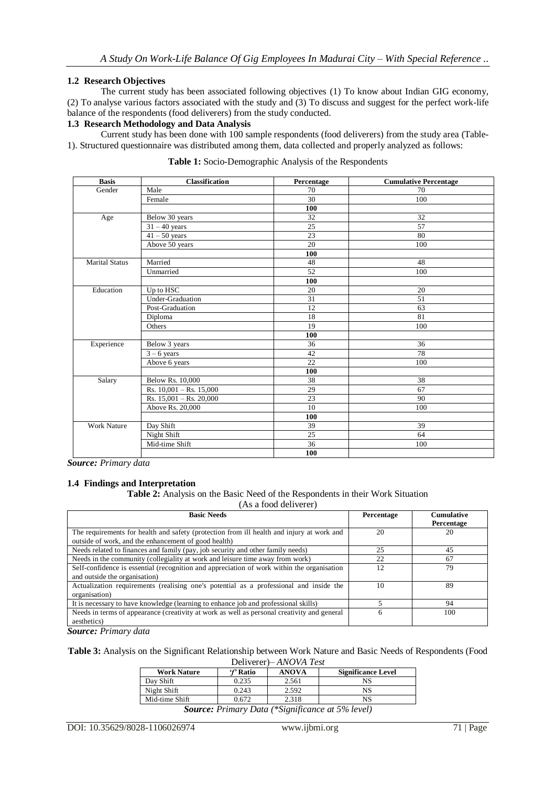## **1.2 Research Objectives**

The current study has been associated following objectives (1) To know about Indian GIG economy, (2) To analyse various factors associated with the study and (3) To discuss and suggest for the perfect work-life balance of the respondents (food deliverers) from the study conducted.

#### **1.3 Research Methodology and Data Analysis**

Current study has been done with 100 sample respondents (food deliverers) from the study area (Table-1). Structured questionnaire was distributed among them, data collected and properly analyzed as follows:

| <b>Basis</b>          | <b>Classification</b>       | Percentage | <b>Cumulative Percentage</b> |
|-----------------------|-----------------------------|------------|------------------------------|
| Gender                | Male                        | 70         | 70                           |
|                       | Female                      | 30         | 100                          |
|                       |                             | 100        |                              |
| Age                   | Below 30 years              | 32         | 32                           |
|                       | $31 - 40$ years             | 25         | 57                           |
|                       | $41 - 50$ years             | 23         | 80                           |
|                       | Above 50 years              | 20         | 100                          |
|                       |                             | 100        |                              |
| <b>Marital Status</b> | Married                     | 48         | 48                           |
|                       | Unmarried                   | 52         | 100                          |
|                       |                             | 100        |                              |
| Education             | Up to HSC                   | 20         | 20                           |
|                       | <b>Under-Graduation</b>     | 31         | $\overline{51}$              |
|                       | Post-Graduation             | 12         | 63                           |
|                       | Diploma                     | 18         | 81                           |
|                       | Others                      | 19         | 100                          |
|                       |                             | 100        |                              |
| Experience            | Below 3 years               | 36         | 36                           |
|                       | $3 - 6$ years               | 42         | 78                           |
|                       | Above 6 years               | 22         | 100                          |
|                       |                             | 100        |                              |
| Salary                | Below Rs. 10,000            | 38         | 38                           |
|                       | Rs. $10,001 -$ Rs. $15,000$ | 29         | 67                           |
|                       | Rs. $15,001 -$ Rs. $20,000$ | 23         | 90                           |
|                       | Above Rs. 20,000            | 10         | 100                          |
|                       |                             | 100        |                              |
| <b>Work Nature</b>    | Day Shift                   | 39         | 39                           |
|                       | Night Shift                 | 25         | 64                           |
|                       | Mid-time Shift              | 36         | 100                          |
|                       |                             | 100        |                              |

**Table 1:** Socio-Demographic Analysis of the Respondents

*Source: Primary data*

## **1.4 Findings and Interpretation**

**Table 2:** Analysis on the Basic Need of the Respondents in their Work Situation

(As a food deliverer)

| <b>Basic Needs</b>                                                                                                                                | Percentage | <b>Cumulative</b><br>Percentage |
|---------------------------------------------------------------------------------------------------------------------------------------------------|------------|---------------------------------|
| The requirements for health and safety (protection from ill health and injury at work and<br>outside of work, and the enhancement of good health) | 20         | 20                              |
| Needs related to finances and family (pay, job security and other family needs)                                                                   | 25         | 45                              |
| Needs in the community (collegiality at work and leisure time away from work)                                                                     | 22         | 67                              |
| Self-confidence is essential (recognition and appreciation of work within the organisation<br>and outside the organisation)                       | 12         | 79                              |
| Actualization requirements (realising one's potential as a professional and inside the<br>organisation)                                           | 10         | 89                              |
| It is necessary to have knowledge (learning to enhance job and professional skills)                                                               |            | 94                              |
| Needs in terms of appearance (creativity at work as well as personal creativity and general<br>aesthetics)                                        | 6          | 100                             |

*Source: Primary data*

**Table 3:** Analysis on the Significant Relationship between Work Nature and Basic Needs of Respondents (Food Deliverer)*– ANOVA Test*

|                    | <u>DUINULD</u>      | 111101111100 |                           |
|--------------------|---------------------|--------------|---------------------------|
| <b>Work Nature</b> | $\mathcal{F}$ Ratio | <b>ANOVA</b> | <b>Significance Level</b> |
| Day Shift          | 0.235               | 2.561        |                           |
| Night Shift        | 0.243               | 2.592        |                           |
| Mid-time Shift     | 0.672               | 2.318        |                           |
|                    |                     |              |                           |

*Source: Primary Data (\*Significance at 5% level)*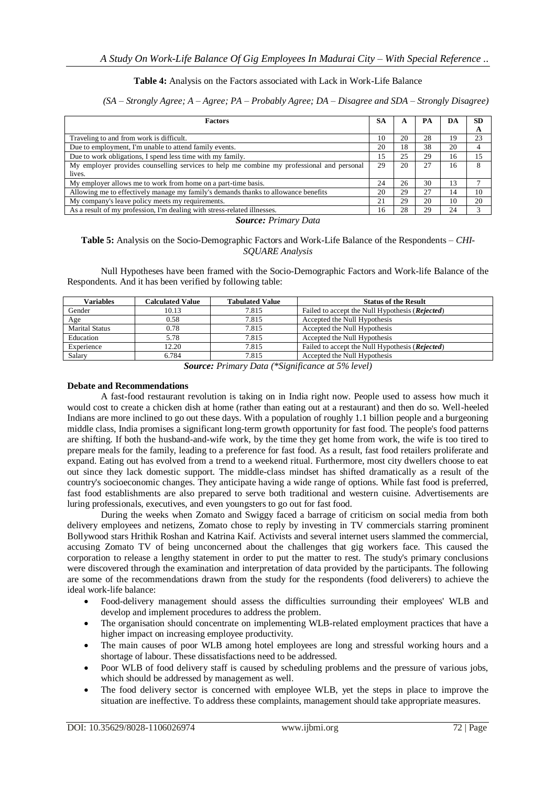#### **Table 4:** Analysis on the Factors associated with Lack in Work-Life Balance

#### *(SA – Strongly Agree; A – Agree; PA – Probably Agree; DA – Disagree and SDA – Strongly Disagree)*

| <b>Factors</b>                                                                            |  | A  | PА | DA | <b>SD</b> |
|-------------------------------------------------------------------------------------------|--|----|----|----|-----------|
|                                                                                           |  |    |    |    | A         |
| Traveling to and from work is difficult.                                                  |  | 20 | 28 | 19 | 23        |
| Due to employment, I'm unable to attend family events.                                    |  | 18 | 38 | 20 | 4         |
| Due to work obligations, I spend less time with my family.                                |  | 25 | 29 | 16 | 15        |
| My employer provides counselling services to help me combine my professional and personal |  | 20 | 27 | 16 | 8         |
| lives.                                                                                    |  |    |    |    |           |
| My employer allows me to work from home on a part-time basis.                             |  | 26 | 30 | 13 |           |
| Allowing me to effectively manage my family's demands thanks to allowance benefits        |  | 29 | 27 | 14 | 10        |
| My company's leave policy meets my requirements.                                          |  | 29 | 20 | 10 | 20        |
| As a result of my profession, I'm dealing with stress-related illnesses.                  |  | 28 | 29 | 24 | 3         |

*Source: Primary Data*

#### **Table 5:** Analysis on the Socio-Demographic Factors and Work-Life Balance of the Respondents – *CHI-SQUARE Analysis*

Null Hypotheses have been framed with the Socio-Demographic Factors and Work-life Balance of the Respondents. And it has been verified by following table:

| <b>Calculated Value</b> | <b>Tabulated Value</b> | <b>Status of the Result</b>                              |
|-------------------------|------------------------|----------------------------------------------------------|
| 10.13                   | 7.815                  | Failed to accept the Null Hypothesis ( <i>Rejected</i> ) |
| 0.58                    | 7.815                  | Accepted the Null Hypothesis                             |
| 0.78                    | 7.815                  | Accepted the Null Hypothesis                             |
| 5.78                    | 7.815                  | Accepted the Null Hypothesis                             |
| 12.20                   | 7.815                  | Failed to accept the Null Hypothesis ( <i>Rejected</i> ) |
| 6.784                   | 7.815                  | Accepted the Null Hypothesis                             |
|                         |                        |                                                          |

*Source: Primary Data (\*Significance at 5% level)*

#### **Debate and Recommendations**

A fast-food restaurant revolution is taking on in India right now. People used to assess how much it would cost to create a chicken dish at home (rather than eating out at a restaurant) and then do so. Well-heeled Indians are more inclined to go out these days. With a population of roughly 1.1 billion people and a burgeoning middle class, India promises a significant long-term growth opportunity for fast food. The people's food patterns are shifting. If both the husband-and-wife work, by the time they get home from work, the wife is too tired to prepare meals for the family, leading to a preference for fast food. As a result, fast food retailers proliferate and expand. Eating out has evolved from a trend to a weekend ritual. Furthermore, most city dwellers choose to eat out since they lack domestic support. The middle-class mindset has shifted dramatically as a result of the country's socioeconomic changes. They anticipate having a wide range of options. While fast food is preferred, fast food establishments are also prepared to serve both traditional and western cuisine. Advertisements are luring professionals, executives, and even youngsters to go out for fast food.

During the weeks when Zomato and Swiggy faced a barrage of criticism on social media from both delivery employees and netizens, Zomato chose to reply by investing in TV commercials starring prominent Bollywood stars Hrithik Roshan and Katrina Kaif. Activists and several internet users slammed the commercial, accusing Zomato TV of being unconcerned about the challenges that gig workers face. This caused the corporation to release a lengthy statement in order to put the matter to rest. The study's primary conclusions were discovered through the examination and interpretation of data provided by the participants. The following are some of the recommendations drawn from the study for the respondents (food deliverers) to achieve the ideal work-life balance:

- Food-delivery management should assess the difficulties surrounding their employees' WLB and develop and implement procedures to address the problem.
- The organisation should concentrate on implementing WLB-related employment practices that have a higher impact on increasing employee productivity.
- The main causes of poor WLB among hotel employees are long and stressful working hours and a shortage of labour. These dissatisfactions need to be addressed.
- Poor WLB of food delivery staff is caused by scheduling problems and the pressure of various jobs, which should be addressed by management as well.
- The food delivery sector is concerned with employee WLB, yet the steps in place to improve the situation are ineffective. To address these complaints, management should take appropriate measures.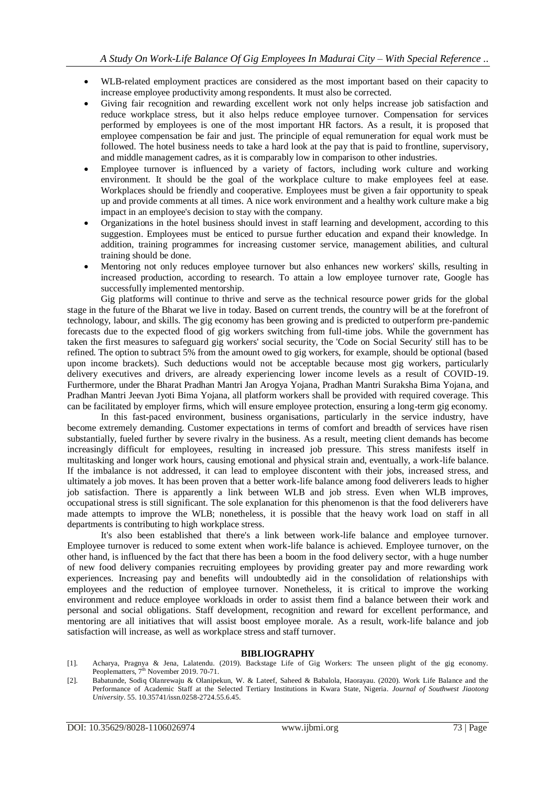- WLB-related employment practices are considered as the most important based on their capacity to increase employee productivity among respondents. It must also be corrected.
- Giving fair recognition and rewarding excellent work not only helps increase job satisfaction and reduce workplace stress, but it also helps reduce employee turnover. Compensation for services performed by employees is one of the most important HR factors. As a result, it is proposed that employee compensation be fair and just. The principle of equal remuneration for equal work must be followed. The hotel business needs to take a hard look at the pay that is paid to frontline, supervisory, and middle management cadres, as it is comparably low in comparison to other industries.
- Employee turnover is influenced by a variety of factors, including work culture and working environment. It should be the goal of the workplace culture to make employees feel at ease. Workplaces should be friendly and cooperative. Employees must be given a fair opportunity to speak up and provide comments at all times. A nice work environment and a healthy work culture make a big impact in an employee's decision to stay with the company.
- Organizations in the hotel business should invest in staff learning and development, according to this suggestion. Employees must be enticed to pursue further education and expand their knowledge. In addition, training programmes for increasing customer service, management abilities, and cultural training should be done.
- Mentoring not only reduces employee turnover but also enhances new workers' skills, resulting in increased production, according to research. To attain a low employee turnover rate, Google has successfully implemented mentorship.

Gig platforms will continue to thrive and serve as the technical resource power grids for the global stage in the future of the Bharat we live in today. Based on current trends, the country will be at the forefront of technology, labour, and skills. The gig economy has been growing and is predicted to outperform pre-pandemic forecasts due to the expected flood of gig workers switching from full-time jobs. While the government has taken the first measures to safeguard gig workers' social security, the 'Code on Social Security' still has to be refined. The option to subtract 5% from the amount owed to gig workers, for example, should be optional (based upon income brackets). Such deductions would not be acceptable because most gig workers, particularly delivery executives and drivers, are already experiencing lower income levels as a result of COVID-19. Furthermore, under the Bharat Pradhan Mantri Jan Arogya Yojana, Pradhan Mantri Suraksha Bima Yojana, and Pradhan Mantri Jeevan Jyoti Bima Yojana, all platform workers shall be provided with required coverage. This can be facilitated by employer firms, which will ensure employee protection, ensuring a long-term gig economy.

In this fast-paced environment, business organisations, particularly in the service industry, have become extremely demanding. Customer expectations in terms of comfort and breadth of services have risen substantially, fueled further by severe rivalry in the business. As a result, meeting client demands has become increasingly difficult for employees, resulting in increased job pressure. This stress manifests itself in multitasking and longer work hours, causing emotional and physical strain and, eventually, a work-life balance. If the imbalance is not addressed, it can lead to employee discontent with their jobs, increased stress, and ultimately a job moves. It has been proven that a better work-life balance among food deliverers leads to higher job satisfaction. There is apparently a link between WLB and job stress. Even when WLB improves, occupational stress is still significant. The sole explanation for this phenomenon is that the food deliverers have made attempts to improve the WLB; nonetheless, it is possible that the heavy work load on staff in all departments is contributing to high workplace stress.

It's also been established that there's a link between work-life balance and employee turnover. Employee turnover is reduced to some extent when work-life balance is achieved. Employee turnover, on the other hand, is influenced by the fact that there has been a boom in the food delivery sector, with a huge number of new food delivery companies recruiting employees by providing greater pay and more rewarding work experiences. Increasing pay and benefits will undoubtedly aid in the consolidation of relationships with employees and the reduction of employee turnover. Nonetheless, it is critical to improve the working environment and reduce employee workloads in order to assist them find a balance between their work and personal and social obligations. Staff development, recognition and reward for excellent performance, and mentoring are all initiatives that will assist boost employee morale. As a result, work-life balance and job satisfaction will increase, as well as workplace stress and staff turnover.

#### **BIBLIOGRAPHY**

- [1]. Acharya, Pragnya & Jena, Lalatendu. (2019). Backstage Life of Gig Workers: The unseen plight of the gig economy. Peoplematters, 7<sup>th</sup> November 2019. 70-71.
- [2]. Babatunde, Sodiq Olanrewaju & Olanipekun, W. & Lateef, Saheed & Babalola, Haorayau. (2020). Work Life Balance and the Performance of Academic Staff at the Selected Tertiary Institutions in Kwara State, Nigeria*. Journal of Southwest Jiaotong University*. 55. 10.35741/issn.0258-2724.55.6.45.